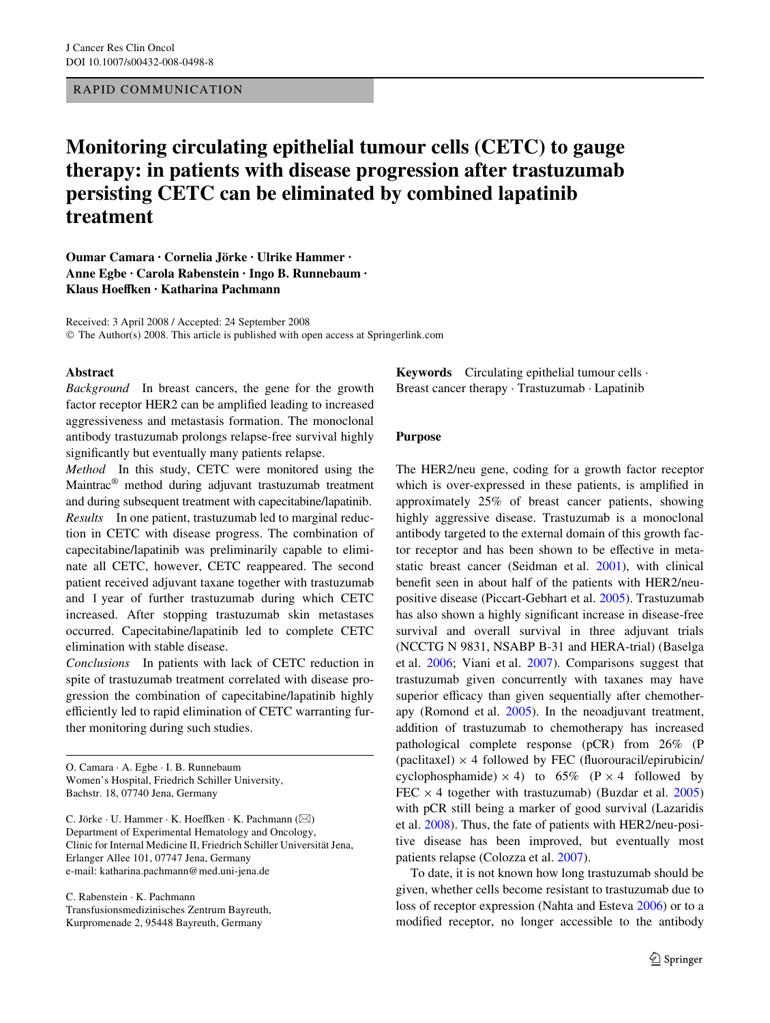## RAPID COMMUNICATION

# **Monitoring circulating epithelial tumour cells (CETC) to gauge therapy: in patients with disease progression after trastuzumab persisting CETC can be eliminated by combined lapatinib treatment**

**Oumar Camara · Cornelia Jörke · Ulrike Hammer · Anne Egbe · Carola Rabenstein · Ingo B. Runnebaum ·**  Klaus Hoeffken · Katharina Pachmann

Received: 3 April 2008 / Accepted: 24 September 2008 © The Author(s) 2008. This article is published with open access at Springerlink.com

### **Abstract**

*Background* In breast cancers, the gene for the growth factor receptor HER2 can be amplified leading to increased aggressiveness and metastasis formation. The monoclonal antibody trastuzumab prolongs relapse-free survival highly significantly but eventually many patients relapse.

*Method* In this study, CETC were monitored using the Maintrac® method during adjuvant trastuzumab treatment and during subsequent treatment with capecitabine/lapatinib. *Results* In one patient, trastuzumab led to marginal reduction in CETC with disease progress. The combination of capecitabine/lapatinib was preliminarily capable to eliminate all CETC, however, CETC reappeared. The second patient received adjuvant taxane together with trastuzumab and 1 year of further trastuzumab during which CETC increased. After stopping trastuzumab skin metastases occurred. Capecitabine/lapatinib led to complete CETC elimination with stable disease.

*Conclusions* In patients with lack of CETC reduction in spite of trastuzumab treatment correlated with disease progression the combination of capecitabine/lapatinib highly efficiently led to rapid elimination of CETC warranting further monitoring during such studies.

O. Camara · A. Egbe · I. B. Runnebaum Women's Hospital, Friedrich Schiller University, Bachstr. 18, 07740 Jena, Germany

C. Jörke · U. Hammer · K. Hoeffken · K. Pachmann ( $\boxtimes$ ) Department of Experimental Hematology and Oncology, Clinic for Internal Medicine II, Friedrich Schiller Universität Jena, Erlanger Allee 101, 07747 Jena, Germany e-mail: katharina.pachmann@med.uni-jena.de

C. Rabenstein · K. Pachmann Transfusionsmedizinisches Zentrum Bayreuth, Kurpromenade 2, 95448 Bayreuth, Germany

**Keywords** Circulating epithelial tumour cells · Breast cancer therapy · Trastuzumab · Lapatinib

## **Purpose**

The HER2/neu gene, coding for a growth factor receptor which is over-expressed in these patients, is amplified in approximately 25% of breast cancer patients, showing highly aggressive disease. Trastuzumab is a monoclonal antibody targeted to the external domain of this growth factor receptor and has been shown to be effective in metastatic breast cancer (Seidman et al. [2001\)](#page-4-0), with clinical benefit seen in about half of the patients with HER2/neupositive disease (Piccart-Gebhart et al. [2005\)](#page-4-1). Trastuzumab has also shown a highly significant increase in disease-free survival and overall survival in three adjuvant trials (NCCTG N 9831, NSABP B-31 and HERA-trial) (Baselga et al. [2006;](#page-3-0) Viani et al. [2007\)](#page-4-2). Comparisons suggest that trastuzumab given concurrently with taxanes may have superior efficacy than given sequentially after chemotherapy (Romond et al. [2005](#page-4-3)). In the neoadjuvant treatment, addition of trastuzumab to chemotherapy has increased pathological complete response (pCR) from 26% (P (paclitaxel)  $\times$  4 followed by FEC (fluorouracil/epirubicin/ cyclophosphamide)  $\times$  4) to 65% (P  $\times$  4 followed by FEC  $\times$  4 together with trastuzumab) (Buzdar et al. [2005\)](#page-3-1) with pCR still being a marker of good survival (Lazaridis et al. [2008](#page-3-2)). Thus, the fate of patients with HER2/neu-positive disease has been improved, but eventually most patients relapse (Colozza et al. [2007](#page-3-3)).

To date, it is not known how long trastuzumab should be given, whether cells become resistant to trastuzumab due to loss of receptor expression (Nahta and Esteva [2006](#page-4-4)) or to a modified receptor, no longer accessible to the antibody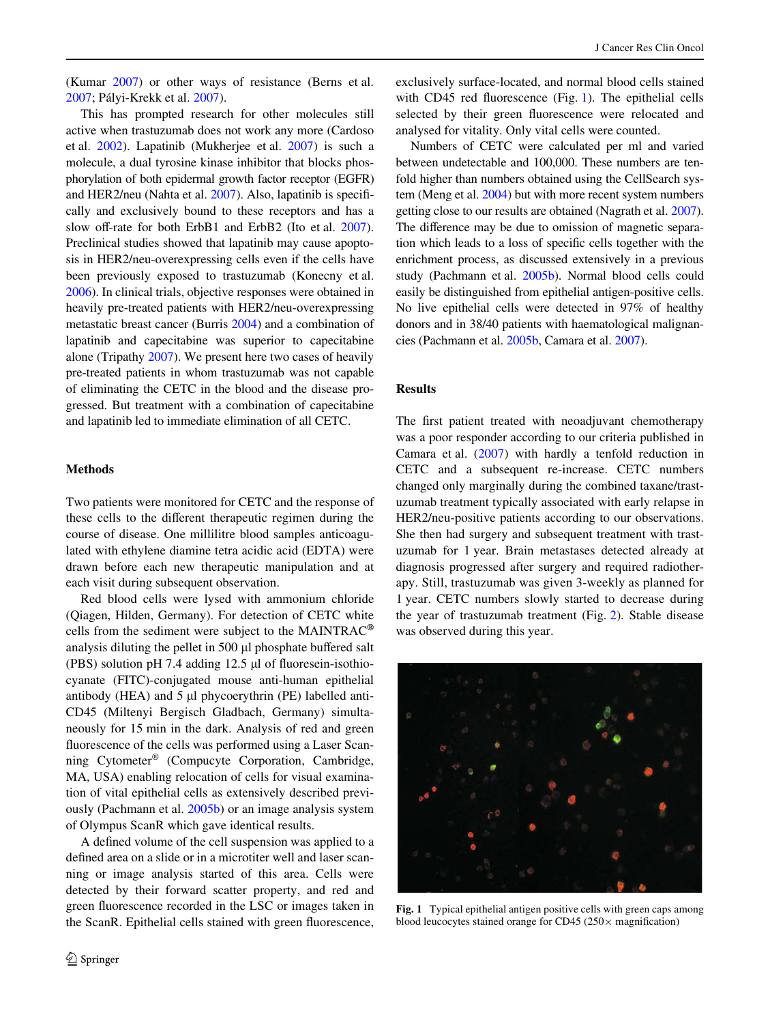(Kumar [2007](#page-3-4)) or other ways of resistance (Berns et al. [2007](#page-3-5); Pályi-Krekk et al. [2007\)](#page-4-5).

This has prompted research for other molecules still active when trastuzumab does not work any more (Cardoso et al. [2002\)](#page-3-6). Lapatinib (Mukherjee et al. [2007](#page-4-6)) is such a molecule, a dual tyrosine kinase inhibitor that blocks phosphorylation of both epidermal growth factor receptor (EGFR) and HER2/neu (Nahta et al.  $2007$ ). Also, lapatinib is specifically and exclusively bound to these receptors and has a slow off-rate for both ErbB1 and ErbB2 (Ito et al. [2007](#page-3-7)). Preclinical studies showed that lapatinib may cause apoptosis in HER2/neu-overexpressing cells even if the cells have been previously exposed to trastuzumab (Konecny et al. [2006\)](#page-3-8). In clinical trials, objective responses were obtained in heavily pre-treated patients with HER2/neu-overexpressing metastatic breast cancer (Burris [2004\)](#page-3-9) and a combination of lapatinib and capecitabine was superior to capecitabine alone (Tripathy [2007](#page-4-8)). We present here two cases of heavily pre-treated patients in whom trastuzumab was not capable of eliminating the CETC in the blood and the disease progressed. But treatment with a combination of capecitabine and lapatinib led to immediate elimination of all CETC.

#### **Methods**

Two patients were monitored for CETC and the response of these cells to the different therapeutic regimen during the course of disease. One millilitre blood samples anticoagulated with ethylene diamine tetra acidic acid (EDTA) were drawn before each new therapeutic manipulation and at each visit during subsequent observation.

Red blood cells were lysed with ammonium chloride (Qiagen, Hilden, Germany). For detection of CETC white cells from the sediment were subject to the MAINTRAC**®** analysis diluting the pellet in  $500 \mu l$  phosphate buffered salt (PBS) solution pH 7.4 adding  $12.5 \mu$  of fluoresein-isothiocyanate (FITC)-conjugated mouse anti-human epithelial antibody (HEA) and  $5 \mu l$  phycoerythrin (PE) labelled anti-CD45 (Miltenyi Bergisch Gladbach, Germany) simultaneously for 15 min in the dark. Analysis of red and green fluorescence of the cells was performed using a Laser Scanning Cytometer® (Compucyte Corporation, Cambridge, MA, USA) enabling relocation of cells for visual examination of vital epithelial cells as extensively described previously (Pachmann et al. [2005b](#page-4-9)) or an image analysis system of Olympus ScanR which gave identical results.

A defined volume of the cell suspension was applied to a defined area on a slide or in a microtiter well and laser scanning or image analysis started of this area. Cells were detected by their forward scatter property, and red and green fluorescence recorded in the LSC or images taken in the ScanR. Epithelial cells stained with green fluorescence, exclusively surface-located, and normal blood cells stained with CD45 red fluorescence (Fig. [1](#page-1-0)). The epithelial cells selected by their green fluorescence were relocated and analysed for vitality. Only vital cells were counted.

Numbers of CETC were calculated per ml and varied between undetectable and 100,000. These numbers are tenfold higher than numbers obtained using the CellSearch system (Meng et al. [2004](#page-4-10)) but with more recent system numbers getting close to our results are obtained (Nagrath et al. [2007\)](#page-4-11). The difference may be due to omission of magnetic separation which leads to a loss of specific cells together with the enrichment process, as discussed extensively in a previous study (Pachmann et al. [2005b\)](#page-4-9). Normal blood cells could easily be distinguished from epithelial antigen-positive cells. No live epithelial cells were detected in 97% of healthy donors and in 38/40 patients with haematological malignancies (Pachmann et al. [2005b](#page-4-9), Camara et al. [2007](#page-3-10)).

# **Results**

The first patient treated with neoadjuvant chemotherapy was a poor responder according to our criteria published in Camara et al. ([2007\)](#page-3-10) with hardly a tenfold reduction in CETC and a subsequent re-increase. CETC numbers changed only marginally during the combined taxane/trastuzumab treatment typically associated with early relapse in HER2/neu-positive patients according to our observations. She then had surgery and subsequent treatment with trastuzumab for 1 year. Brain metastases detected already at diagnosis progressed after surgery and required radiotherapy. Still, trastuzumab was given 3-weekly as planned for 1 year. CETC numbers slowly started to decrease during the year of trastuzumab treatment (Fig. [2\)](#page-2-0). Stable disease was observed during this year.

<span id="page-1-0"></span>

**Fig. 1** Typical epithelial antigen positive cells with green caps among blood leucocytes stained orange for CD45 ( $250 \times$  magnification)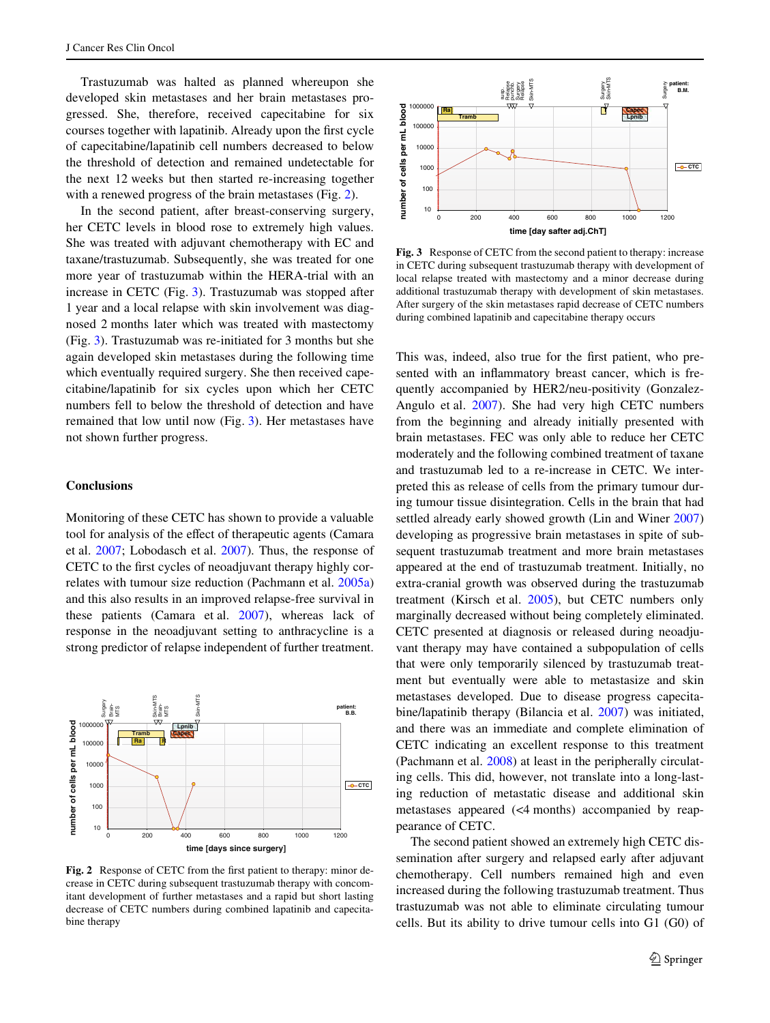Trastuzumab was halted as planned whereupon she developed skin metastases and her brain metastases progressed. She, therefore, received capecitabine for six courses together with lapatinib. Already upon the first cycle of capecitabine/lapatinib cell numbers decreased to below the threshold of detection and remained undetectable for the next 12 weeks but then started re-increasing together with a renewed progress of the brain metastases (Fig. [2](#page-2-0)).

In the second patient, after breast-conserving surgery, her CETC levels in blood rose to extremely high values. She was treated with adjuvant chemotherapy with EC and taxane/trastuzumab. Subsequently, she was treated for one more year of trastuzumab within the HERA-trial with an increase in CETC (Fig. [3](#page-2-1)). Trastuzumab was stopped after 1 year and a local relapse with skin involvement was diagnosed 2 months later which was treated with mastectomy (Fig. [3\)](#page-2-1). Trastuzumab was re-initiated for 3 months but she again developed skin metastases during the following time which eventually required surgery. She then received capecitabine/lapatinib for six cycles upon which her CETC numbers fell to below the threshold of detection and have remained that low until now (Fig. [3\)](#page-2-1). Her metastases have not shown further progress.

# **Conclusions**

Monitoring of these CETC has shown to provide a valuable tool for analysis of the effect of therapeutic agents (Camara et al. [2007](#page-3-10); Lobodasch et al. [2007\)](#page-4-12). Thus, the response of CETC to the first cycles of neoadjuvant therapy highly correlates with tumour size reduction (Pachmann et al. [2005a\)](#page-4-13) and this also results in an improved relapse-free survival in these patients (Camara et al. [2007\)](#page-3-10), whereas lack of response in the neoadjuvant setting to anthracycline is a strong predictor of relapse independent of further treatment.



<span id="page-2-0"></span>Fig. 2 Response of CETC from the first patient to therapy: minor decrease in CETC during subsequent trastuzumab therapy with concomitant development of further metastases and a rapid but short lasting decrease of CETC numbers during combined lapatinib and capecitabine therapy



<span id="page-2-1"></span>**Fig. 3** Response of CETC from the second patient to therapy: increase in CETC during subsequent trastuzumab therapy with development of local relapse treated with mastectomy and a minor decrease during additional trastuzumab therapy with development of skin metastases. After surgery of the skin metastases rapid decrease of CETC numbers during combined lapatinib and capecitabine therapy occurs

This was, indeed, also true for the first patient, who presented with an inflammatory breast cancer, which is frequently accompanied by HER2/neu-positivity (Gonzalez-Angulo et al. [2007](#page-3-11)). She had very high CETC numbers from the beginning and already initially presented with brain metastases. FEC was only able to reduce her CETC moderately and the following combined treatment of taxane and trastuzumab led to a re-increase in CETC. We interpreted this as release of cells from the primary tumour during tumour tissue disintegration. Cells in the brain that had settled already early showed growth (Lin and Winer [2007\)](#page-4-14) developing as progressive brain metastases in spite of subsequent trastuzumab treatment and more brain metastases appeared at the end of trastuzumab treatment. Initially, no extra-cranial growth was observed during the trastuzumab treatment (Kirsch et al. [2005](#page-3-12)), but CETC numbers only marginally decreased without being completely eliminated. CETC presented at diagnosis or released during neoadjuvant therapy may have contained a subpopulation of cells that were only temporarily silenced by trastuzumab treatment but eventually were able to metastasize and skin metastases developed. Due to disease progress capecitabine/lapatinib therapy (Bilancia et al. [2007\)](#page-3-13) was initiated, and there was an immediate and complete elimination of CETC indicating an excellent response to this treatment (Pachmann et al. [2008](#page-4-15)) at least in the peripherally circulating cells. This did, however, not translate into a long-lasting reduction of metastatic disease and additional skin metastases appeared (<4 months) accompanied by reappearance of CETC.

The second patient showed an extremely high CETC dissemination after surgery and relapsed early after adjuvant chemotherapy. Cell numbers remained high and even increased during the following trastuzumab treatment. Thus trastuzumab was not able to eliminate circulating tumour cells. But its ability to drive tumour cells into G1 (G0) of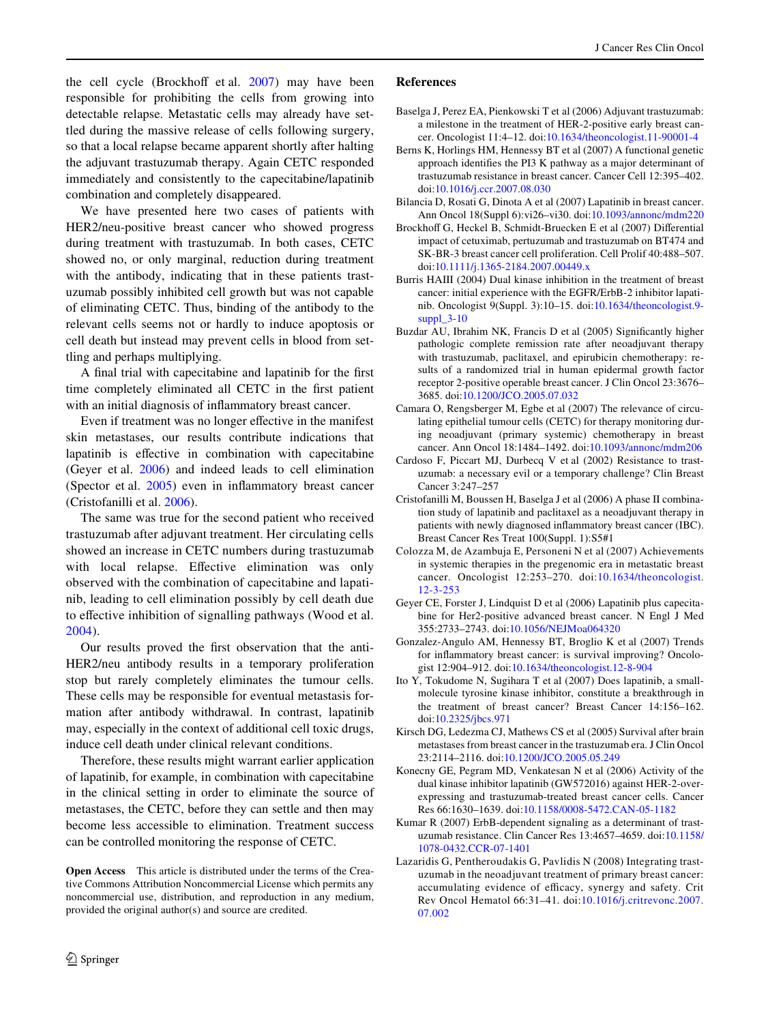the cell cycle (Brockhoff et al.  $2007$ ) may have been responsible for prohibiting the cells from growing into detectable relapse. Metastatic cells may already have settled during the massive release of cells following surgery, so that a local relapse became apparent shortly after halting the adjuvant trastuzumab therapy. Again CETC responded immediately and consistently to the capecitabine/lapatinib combination and completely disappeared.

We have presented here two cases of patients with HER2/neu-positive breast cancer who showed progress during treatment with trastuzumab. In both cases, CETC showed no, or only marginal, reduction during treatment with the antibody, indicating that in these patients trastuzumab possibly inhibited cell growth but was not capable of eliminating CETC. Thus, binding of the antibody to the relevant cells seems not or hardly to induce apoptosis or cell death but instead may prevent cells in blood from settling and perhaps multiplying.

A final trial with capecitabine and lapatinib for the first time completely eliminated all CETC in the first patient with an initial diagnosis of inflammatory breast cancer.

Even if treatment was no longer effective in the manifest skin metastases, our results contribute indications that lapatinib is effective in combination with capecitabine (Geyer et al. [2006\)](#page-3-15) and indeed leads to cell elimination (Spector et al.  $2005$ ) even in inflammatory breast cancer (Cristofanilli et al. [2006](#page-3-16)).

The same was true for the second patient who received trastuzumab after adjuvant treatment. Her circulating cells showed an increase in CETC numbers during trastuzumab with local relapse. Effective elimination was only observed with the combination of capecitabine and lapatinib, leading to cell elimination possibly by cell death due to effective inhibition of signalling pathways (Wood et al. [2004](#page-4-17)).

Our results proved the first observation that the anti-HER2/neu antibody results in a temporary proliferation stop but rarely completely eliminates the tumour cells. These cells may be responsible for eventual metastasis formation after antibody withdrawal. In contrast, lapatinib may, especially in the context of additional cell toxic drugs, induce cell death under clinical relevant conditions.

Therefore, these results might warrant earlier application of lapatinib, for example, in combination with capecitabine in the clinical setting in order to eliminate the source of metastases, the CETC, before they can settle and then may become less accessible to elimination. Treatment success can be controlled monitoring the response of CETC.

**Open Access** This article is distributed under the terms of the Creative Commons Attribution Noncommercial License which permits any noncommercial use, distribution, and reproduction in any medium, provided the original author(s) and source are credited.

#### **References**

- <span id="page-3-0"></span>Baselga J, Perez EA, Pienkowski T et al (2006) Adjuvant trastuzumab: a milestone in the treatment of HER-2-positive early breast cancer. Oncologist 11:4–12. doi:[10.1634/theoncologist.11-90001-4](http://dx.doi.org/10.1634/theoncologist.11-90001-4)
- <span id="page-3-5"></span>Berns K, Horlings HM, Hennessy BT et al (2007) A functional genetic approach identifies the PI3 K pathway as a major determinant of trastuzumab resistance in breast cancer. Cancer Cell 12:395–402. doi[:10.1016/j.ccr.2007.08.030](http://dx.doi.org/10.1016/j.ccr.2007.08.030)
- <span id="page-3-13"></span>Bilancia D, Rosati G, Dinota A et al (2007) Lapatinib in breast cancer. Ann Oncol 18(Suppl 6):vi26–vi30. doi[:10.1093/annonc/mdm220](http://dx.doi.org/10.1093/annonc/mdm220)
- <span id="page-3-14"></span>Brockhoff G, Heckel B, Schmidt-Bruecken E et al (2007) Differential impact of cetuximab, pertuzumab and trastuzumab on BT474 and SK-BR-3 breast cancer cell proliferation. Cell Prolif 40:488–507. doi[:10.1111/j.1365-2184.2007.00449.x](http://dx.doi.org/10.1111/j.1365-2184.2007.00449.x)
- <span id="page-3-9"></span>Burris HAIII (2004) Dual kinase inhibition in the treatment of breast cancer: initial experience with the EGFR/ErbB-2 inhibitor lapatinib. Oncologist 9(Suppl. 3):10–15. doi[:10.1634/theoncologist.9](http://dx.doi.org/10.1634/theoncologist.9-suppl_3-10) [suppl\\_3-10](http://dx.doi.org/10.1634/theoncologist.9-suppl_3-10)
- <span id="page-3-1"></span>Buzdar AU, Ibrahim NK, Francis D et al (2005) Significantly higher pathologic complete remission rate after neoadjuvant therapy with trastuzumab, paclitaxel, and epirubicin chemotherapy: results of a randomized trial in human epidermal growth factor receptor 2-positive operable breast cancer. J Clin Oncol 23:3676– 3685. doi:[10.1200/JCO.2005.07.032](http://dx.doi.org/10.1200/JCO.2005.07.032)
- <span id="page-3-10"></span>Camara O, Rengsberger M, Egbe et al (2007) The relevance of circulating epithelial tumour cells (CETC) for therapy monitoring during neoadjuvant (primary systemic) chemotherapy in breast cancer. Ann Oncol 18:1484–1492. doi:[10.1093/annonc/mdm206](http://dx.doi.org/10.1093/annonc/mdm206)
- <span id="page-3-6"></span>Cardoso F, Piccart MJ, Durbecq V et al (2002) Resistance to trastuzumab: a necessary evil or a temporary challenge? Clin Breast Cancer 3:247–257
- <span id="page-3-16"></span>Cristofanilli M, Boussen H, Baselga J et al (2006) A phase II combination study of lapatinib and paclitaxel as a neoadjuvant therapy in patients with newly diagnosed inflammatory breast cancer (IBC). Breast Cancer Res Treat 100(Suppl. 1):S5#1
- <span id="page-3-3"></span>Colozza M, de Azambuja E, Personeni N et al (2007) Achievements in systemic therapies in the pregenomic era in metastatic breast cancer. Oncologist 12:253–270. doi:[10.1634/theoncologist.](http://dx.doi.org/10.1634/theoncologist.12-3-253) [12-3-253](http://dx.doi.org/10.1634/theoncologist.12-3-253)
- <span id="page-3-15"></span>Geyer CE, Forster J, Lindquist D et al (2006) Lapatinib plus capecitabine for Her2-positive advanced breast cancer. N Engl J Med 355:2733–2743. doi:[10.1056/NEJMoa064320](http://dx.doi.org/10.1056/NEJMoa064320)
- <span id="page-3-11"></span>Gonzalez-Angulo AM, Hennessy BT, Broglio K et al (2007) Trends for inflammatory breast cancer: is survival improving? Oncologist 12:904–912. doi:[10.1634/theoncologist.12-8-904](http://dx.doi.org/10.1634/theoncologist.12-8-904)
- <span id="page-3-7"></span>Ito Y, Tokudome N, Sugihara T et al (2007) Does lapatinib, a smallmolecule tyrosine kinase inhibitor, constitute a breakthrough in the treatment of breast cancer? Breast Cancer 14:156–162. doi[:10.2325/jbcs.971](http://dx.doi.org/10.2325/jbcs.971)
- <span id="page-3-12"></span>Kirsch DG, Ledezma CJ, Mathews CS et al (2005) Survival after brain metastases from breast cancer in the trastuzumab era. J Clin Oncol 23:2114–2116. doi:[10.1200/JCO.2005.05.249](http://dx.doi.org/10.1200/JCO.2005.05.249)
- <span id="page-3-8"></span>Konecny GE, Pegram MD, Venkatesan N et al (2006) Activity of the dual kinase inhibitor lapatinib (GW572016) against HER-2-overexpressing and trastuzumab-treated breast cancer cells. Cancer Res 66:1630–1639. doi:[10.1158/0008-5472.CAN-05-1182](http://dx.doi.org/10.1158/0008-5472.CAN-05-1182)
- <span id="page-3-4"></span>Kumar R (2007) ErbB-dependent signaling as a determinant of trastuzumab resistance. Clin Cancer Res 13:4657–4659. doi[:10.1158/](http://dx.doi.org/10.1158/1078-0432.CCR-07-1401) [1078-0432.CCR-07-1401](http://dx.doi.org/10.1158/1078-0432.CCR-07-1401)
- <span id="page-3-2"></span>Lazaridis G, Pentheroudakis G, Pavlidis N (2008) Integrating trastuzumab in the neoadjuvant treatment of primary breast cancer: accumulating evidence of efficacy, synergy and safety. Crit Rev Oncol Hematol 66:31–41. doi:[10.1016/j.critrevonc.2007.](http://dx.doi.org/10.1016/j.critrevonc.2007.07.002) [07.002](http://dx.doi.org/10.1016/j.critrevonc.2007.07.002)